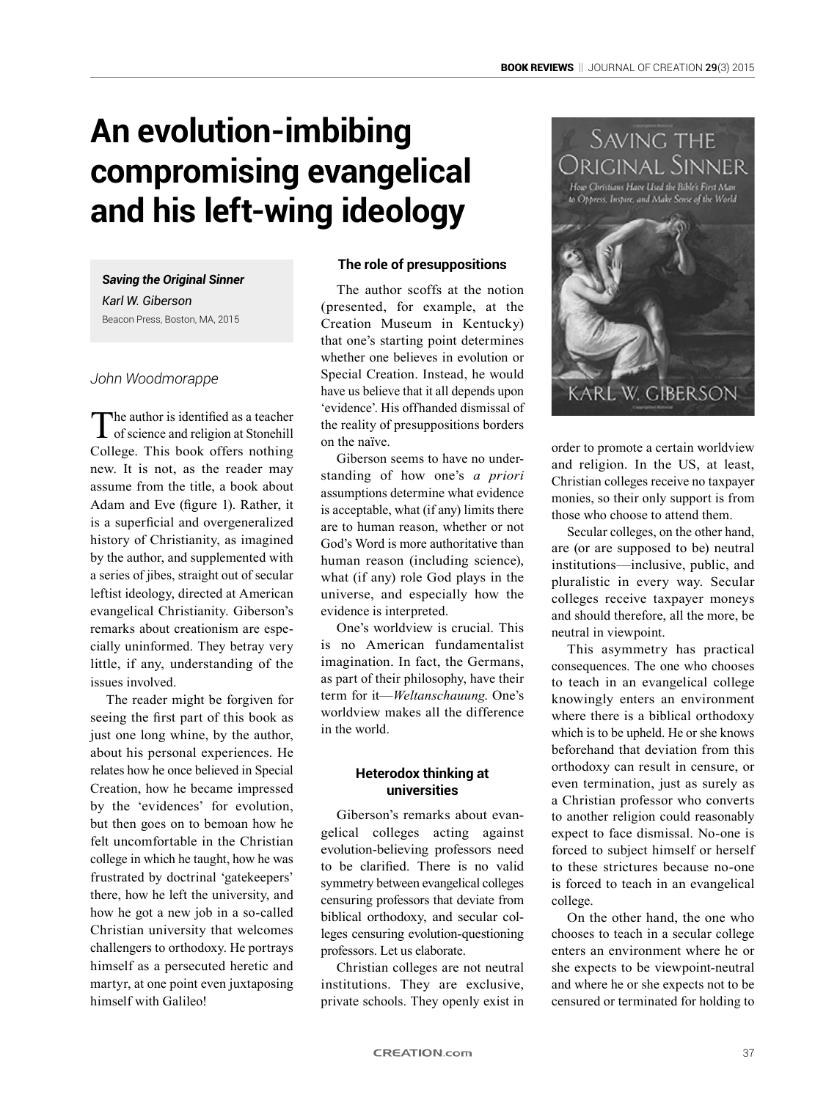# **An evolution-imbibing compromising evangelical and his left-wing ideology**

*Saving the Original Sinner Karl W. Giberson* Beacon Press, Boston, MA, 2015

# *John Woodmorappe*

The author is identified as a teacher<br>
of science and religion at Stonehill College. This book offers nothing new. It is not, as the reader may assume from the title, a book about Adam and Eve (figure 1). Rather, it is a superficial and overgeneralized history of Christianity, as imagined by the author, and supplemented with a series of jibes, straight out of secular leftist ideology, directed at American evangelical Christianity. Giberson's remarks about creationism are especially uninformed. They betray very little, if any, understanding of the issues involved.

The reader might be forgiven for seeing the first part of this book as just one long whine, by the author, about his personal experiences. He relates how he once believed in Special Creation, how he became impressed by the 'evidences' for evolution, but then goes on to bemoan how he felt uncomfortable in the Christian college in which he taught, how he was frustrated by doctrinal 'gatekeepers' there, how he left the university, and how he got a new job in a so-called Christian university that welcomes challengers to orthodoxy. He portrays himself as a persecuted heretic and martyr, at one point even juxtaposing himself with Galileo!

# **The role of presuppositions**

The author scoffs at the notion (presented, for example, at the Creation Museum in Kentucky) that one's starting point determines whether one believes in evolution or Special Creation. Instead, he would have us believe that it all depends upon 'evidence'. His offhanded dismissal of the reality of presuppositions borders on the naïve.

Giberson seems to have no understanding of how one's *a priori* assumptions determine what evidence is acceptable, what (if any) limits there are to human reason, whether or not God's Word is more authoritative than human reason (including science), what (if any) role God plays in the universe, and especially how the evidence is interpreted.

One's worldview is crucial. This is no American fundamentalist imagination. In fact, the Germans, as part of their philosophy, have their term for it—*Weltanschauung*. One's worldview makes all the difference in the world.

### **Heterodox thinking at universities**

Giberson's remarks about evangelical colleges acting against evolution-believing professors need to be clarified. There is no valid symmetry between evangelical colleges censuring professors that deviate from biblical orthodoxy, and secular colleges censuring evolution-questioning professors. Let us elaborate.

Christian colleges are not neutral institutions. They are exclusive, private schools. They openly exist in



order to promote a certain worldview and religion. In the US, at least, Christian colleges receive no taxpayer monies, so their only support is from those who choose to attend them.

Secular colleges, on the other hand, are (or are supposed to be) neutral institutions—inclusive, public, and pluralistic in every way. Secular colleges receive taxpayer moneys and should therefore, all the more, be neutral in viewpoint.

This asymmetry has practical consequences. The one who chooses to teach in an evangelical college knowingly enters an environment where there is a biblical orthodoxy which is to be upheld. He or she knows beforehand that deviation from this orthodoxy can result in censure, or even termination, just as surely as a Christian professor who converts to another religion could reasonably expect to face dismissal. No-one is forced to subject himself or herself to these strictures because no-one is forced to teach in an evangelical college.

On the other hand, the one who chooses to teach in a secular college enters an environment where he or she expects to be viewpoint-neutral and where he or she expects not to be censured or terminated for holding to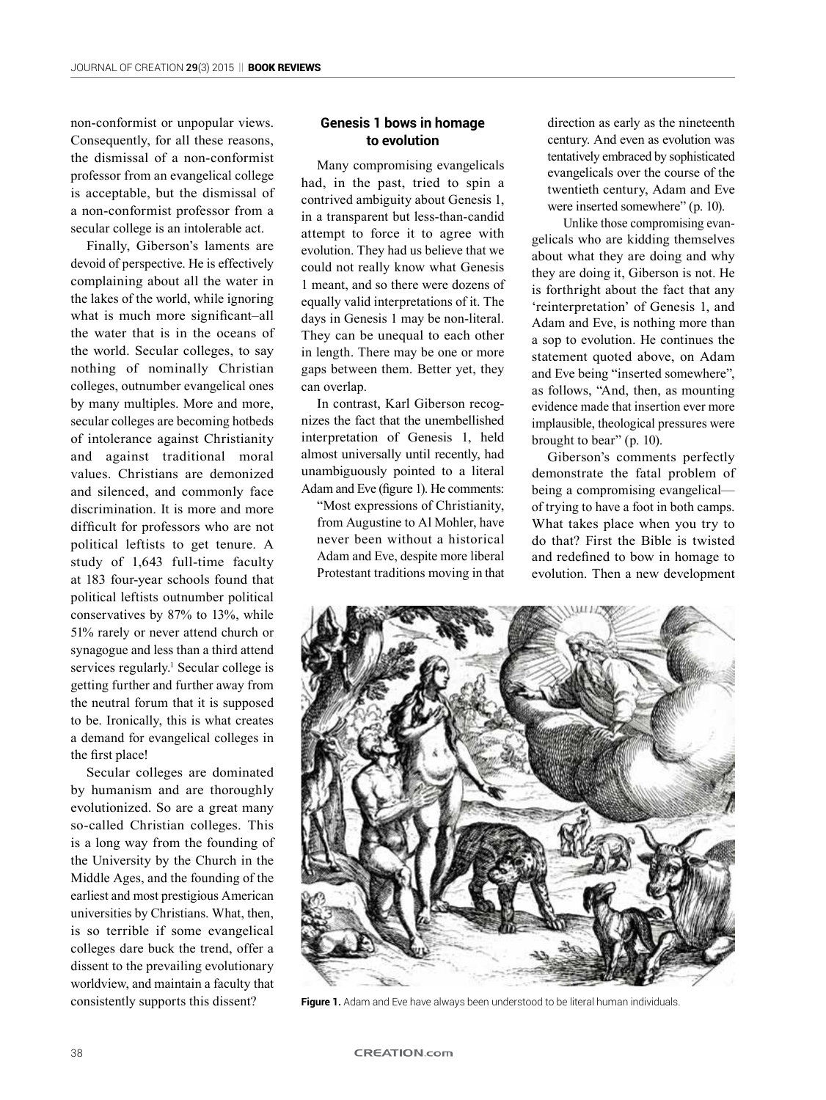non-conformist or unpopular views. Consequently, for all these reasons, the dismissal of a non-conformist professor from an evangelical college is acceptable, but the dismissal of a non-conformist professor from a secular college is an intolerable act.

Finally, Giberson's laments are devoid of perspective. He is effectively complaining about all the water in the lakes of the world, while ignoring what is much more significant–all the water that is in the oceans of the world. Secular colleges, to say nothing of nominally Christian colleges, outnumber evangelical ones by many multiples. More and more, secular colleges are becoming hotbeds of intolerance against Christianity and against traditional moral values. Christians are demonized and silenced, and commonly face discrimination. It is more and more difficult for professors who are not political leftists to get tenure. A study of 1,643 full-time faculty at 183 four-year schools found that political leftists outnumber political conservatives by 87% to 13%, while 51% rarely or never attend church or synagogue and less than a third attend services regularly.<sup>1</sup> Secular college is getting further and further away from the neutral forum that it is supposed to be. Ironically, this is what creates a demand for evangelical colleges in the first place!

Secular colleges are dominated by humanism and are thoroughly evolutionized. So are a great many so-called Christian colleges. This is a long way from the founding of the University by the Church in the Middle Ages, and the founding of the earliest and most prestigious American universities by Christians. What, then, is so terrible if some evangelical colleges dare buck the trend, offer a dissent to the prevailing evolutionary worldview, and maintain a faculty that consistently supports this dissent?

## **Genesis 1 bows in homage to evolution**

Many compromising evangelicals had, in the past, tried to spin a contrived ambiguity about Genesis 1, in a transparent but less-than-candid attempt to force it to agree with evolution. They had us believe that we could not really know what Genesis 1 meant, and so there were dozens of equally valid interpretations of it. The days in Genesis 1 may be non-literal. They can be unequal to each other in length. There may be one or more gaps between them. Better yet, they can overlap.

In contrast, Karl Giberson recognizes the fact that the unembellished interpretation of Genesis 1, held almost universally until recently, had unambiguously pointed to a literal Adam and Eve (figure 1). He comments:

"Most expressions of Christianity, from Augustine to Al Mohler, have never been without a historical Adam and Eve, despite more liberal Protestant traditions moving in that direction as early as the nineteenth century. And even as evolution was tentatively embraced by sophisticated evangelicals over the course of the twentieth century, Adam and Eve were inserted somewhere" (p. 10).

Unlike those compromising evangelicals who are kidding themselves about what they are doing and why they are doing it, Giberson is not. He is forthright about the fact that any 'reinterpretation' of Genesis 1, and Adam and Eve, is nothing more than a sop to evolution. He continues the statement quoted above, on Adam and Eve being "inserted somewhere", as follows, "And, then, as mounting evidence made that insertion ever more implausible, theological pressures were brought to bear" (p. 10).

Giberson's comments perfectly demonstrate the fatal problem of being a compromising evangelical of trying to have a foot in both camps. What takes place when you try to do that? First the Bible is twisted and redefined to bow in homage to evolution. Then a new development



**Figure 1.** Adam and Eve have always been understood to be literal human individuals.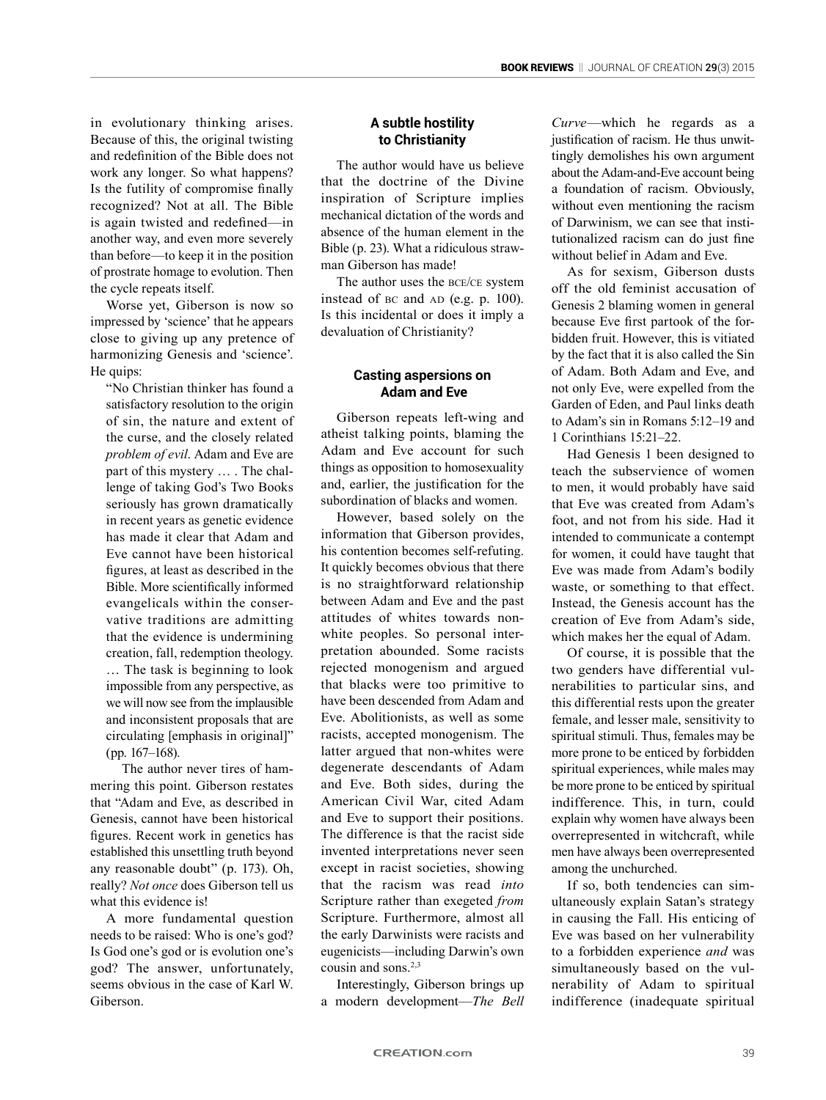in evolutionary thinking arises. Because of this, the original twisting and redefinition of the Bible does not work any longer. So what happens? Is the futility of compromise finally recognized? Not at all. The Bible is again twisted and redefined—in another way, and even more severely than before—to keep it in the position of prostrate homage to evolution. Then the cycle repeats itself.

Worse yet, Giberson is now so impressed by 'science' that he appears close to giving up any pretence of harmonizing Genesis and 'science'. He quips:

"No Christian thinker has found a satisfactory resolution to the origin of sin, the nature and extent of the curse, and the closely related *problem of evil*. Adam and Eve are part of this mystery … . The challenge of taking God's Two Books seriously has grown dramatically in recent years as genetic evidence has made it clear that Adam and Eve cannot have been historical figures, at least as described in the Bible. More scientifically informed evangelicals within the conservative traditions are admitting that the evidence is undermining creation, fall, redemption theology. … The task is beginning to look impossible from any perspective, as we will now see from the implausible and inconsistent proposals that are circulating [emphasis in original]" (pp. 167–168).

The author never tires of hammering this point. Giberson restates that "Adam and Eve, as described in Genesis, cannot have been historical figures. Recent work in genetics has established this unsettling truth beyond any reasonable doubt" (p. 173). Oh, really? *Not once* does Giberson tell us what this evidence is!

A more fundamental question needs to be raised: Who is one's god? Is God one's god or is evolution one's god? The answer, unfortunately, seems obvious in the case of Karl W. Giberson.

## **A subtle hostility to Christianity**

The author would have us believe that the doctrine of the Divine inspiration of Scripture implies mechanical dictation of the words and absence of the human element in the Bible (p. 23). What a ridiculous strawman Giberson has made!

The author uses the bce/ce system instead of  $BC$  and  $AD$  (e.g.  $p. 100$ ). Is this incidental or does it imply a devaluation of Christianity?

#### **Casting aspersions on Adam and Eve**

Giberson repeats left-wing and atheist talking points, blaming the Adam and Eve account for such things as opposition to homosexuality and, earlier, the justification for the subordination of blacks and women.

However, based solely on the information that Giberson provides, his contention becomes self-refuting. It quickly becomes obvious that there is no straightforward relationship between Adam and Eve and the past attitudes of whites towards nonwhite peoples. So personal interpretation abounded. Some racists rejected monogenism and argued that blacks were too primitive to have been descended from Adam and Eve. Abolitionists, as well as some racists, accepted monogenism. The latter argued that non-whites were degenerate descendants of Adam and Eve. Both sides, during the American Civil War, cited Adam and Eve to support their positions. The difference is that the racist side invented interpretations never seen except in racist societies, showing that the racism was read *into* Scripture rather than exegeted *from* Scripture. Furthermore, almost all the early Darwinists were racists and eugenicists—including Darwin's own cousin and sons.2,3

Interestingly, Giberson brings up a modern development—*The Bell* 

*Curve*—which he regards as a justification of racism. He thus unwittingly demolishes his own argument about the Adam-and-Eve account being a foundation of racism. Obviously, without even mentioning the racism of Darwinism, we can see that institutionalized racism can do just fine without belief in Adam and Eve.

As for sexism, Giberson dusts off the old feminist accusation of Genesis 2 blaming women in general because Eve first partook of the forbidden fruit. However, this is vitiated by the fact that it is also called the Sin of Adam. Both Adam and Eve, and not only Eve, were expelled from the Garden of Eden, and Paul links death to Adam's sin in Romans 5:12–19 and 1 Corinthians 15:21–22.

Had Genesis 1 been designed to teach the subservience of women to men, it would probably have said that Eve was created from Adam's foot, and not from his side. Had it intended to communicate a contempt for women, it could have taught that Eve was made from Adam's bodily waste, or something to that effect. Instead, the Genesis account has the creation of Eve from Adam's side, which makes her the equal of Adam.

Of course, it is possible that the two genders have differential vulnerabilities to particular sins, and this differential rests upon the greater female, and lesser male, sensitivity to spiritual stimuli. Thus, females may be more prone to be enticed by forbidden spiritual experiences, while males may be more prone to be enticed by spiritual indifference. This, in turn, could explain why women have always been overrepresented in witchcraft, while men have always been overrepresented among the unchurched.

If so, both tendencies can simultaneously explain Satan's strategy in causing the Fall. His enticing of Eve was based on her vulnerability to a forbidden experience *and* was simultaneously based on the vulnerability of Adam to spiritual indifference (inadequate spiritual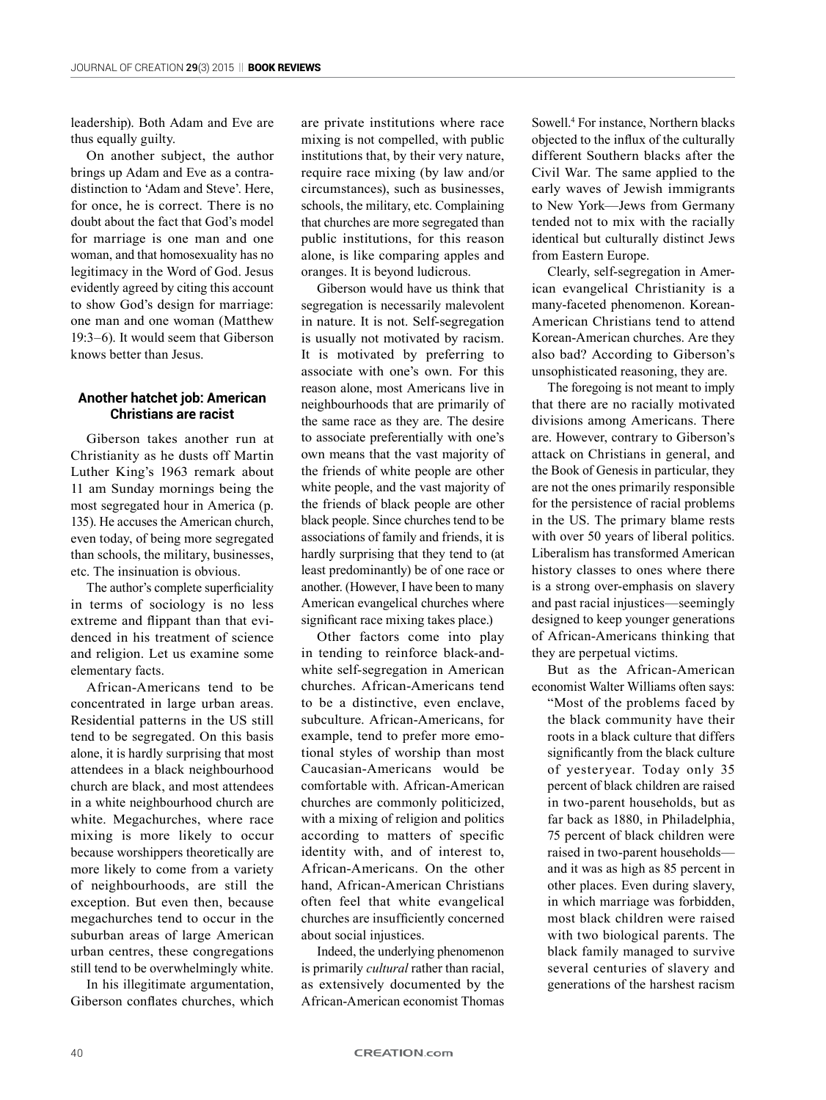leadership). Both Adam and Eve are thus equally guilty.

On another subject, the author brings up Adam and Eve as a contradistinction to 'Adam and Steve'. Here, for once, he is correct. There is no doubt about the fact that God's model for marriage is one man and one woman, and that homosexuality has no legitimacy in the Word of God. Jesus evidently agreed by citing this account to show God's design for marriage: one man and one woman (Matthew 19:3–6). It would seem that Giberson knows better than Jesus.

#### **Another hatchet job: American Christians are racist**

Giberson takes another run at Christianity as he dusts off Martin Luther King's 1963 remark about 11 am Sunday mornings being the most segregated hour in America (p. 135). He accuses the American church, even today, of being more segregated than schools, the military, businesses, etc. The insinuation is obvious.

The author's complete superficiality in terms of sociology is no less extreme and flippant than that evidenced in his treatment of science and religion. Let us examine some elementary facts.

African-Americans tend to be concentrated in large urban areas. Residential patterns in the US still tend to be segregated. On this basis alone, it is hardly surprising that most attendees in a black neighbourhood church are black, and most attendees in a white neighbourhood church are white. Megachurches, where race mixing is more likely to occur because worshippers theoretically are more likely to come from a variety of neighbourhoods, are still the exception. But even then, because megachurches tend to occur in the suburban areas of large American urban centres, these congregations still tend to be overwhelmingly white.

In his illegitimate argumentation, Giberson conflates churches, which

are private institutions where race mixing is not compelled, with public institutions that, by their very nature, require race mixing (by law and/or circumstances), such as businesses, schools, the military, etc. Complaining that churches are more segregated than public institutions, for this reason alone, is like comparing apples and oranges. It is beyond ludicrous.

Giberson would have us think that segregation is necessarily malevolent in nature. It is not. Self-segregation is usually not motivated by racism. It is motivated by preferring to associate with one's own. For this reason alone, most Americans live in neighbourhoods that are primarily of the same race as they are. The desire to associate preferentially with one's own means that the vast majority of the friends of white people are other white people, and the vast majority of the friends of black people are other black people. Since churches tend to be associations of family and friends, it is hardly surprising that they tend to (at least predominantly) be of one race or another. (However, I have been to many American evangelical churches where significant race mixing takes place.)

Other factors come into play in tending to reinforce black-andwhite self-segregation in American churches. African-Americans tend to be a distinctive, even enclave, subculture. African-Americans, for example, tend to prefer more emotional styles of worship than most Caucasian-Americans would be comfortable with. African-American churches are commonly politicized, with a mixing of religion and politics according to matters of specific identity with, and of interest to, African-Americans. On the other hand, African-American Christians often feel that white evangelical churches are insufficiently concerned about social injustices.

Indeed, the underlying phenomenon is primarily *cultural* rather than racial, as extensively documented by the African-American economist Thomas

Sowell.4 For instance, Northern blacks objected to the influx of the culturally different Southern blacks after the Civil War. The same applied to the early waves of Jewish immigrants to New York—Jews from Germany tended not to mix with the racially identical but culturally distinct Jews from Eastern Europe.

Clearly, self-segregation in American evangelical Christianity is a many-faceted phenomenon. Korean-American Christians tend to attend Korean-American churches. Are they also bad? According to Giberson's unsophisticated reasoning, they are.

The foregoing is not meant to imply that there are no racially motivated divisions among Americans. There are. However, contrary to Giberson's attack on Christians in general, and the Book of Genesis in particular, they are not the ones primarily responsible for the persistence of racial problems in the US. The primary blame rests with over 50 years of liberal politics. Liberalism has transformed American history classes to ones where there is a strong over-emphasis on slavery and past racial injustices—seemingly designed to keep younger generations of African-Americans thinking that they are perpetual victims.

But as the African-American economist Walter Williams often says:

"Most of the problems faced by the black community have their roots in a black culture that differs significantly from the black culture of yesteryear. Today only 35 percent of black children are raised in two-parent households, but as far back as 1880, in Philadelphia, 75 percent of black children were raised in two-parent households and it was as high as 85 percent in other places. Even during slavery, in which marriage was forbidden, most black children were raised with two biological parents. The black family managed to survive several centuries of slavery and generations of the harshest racism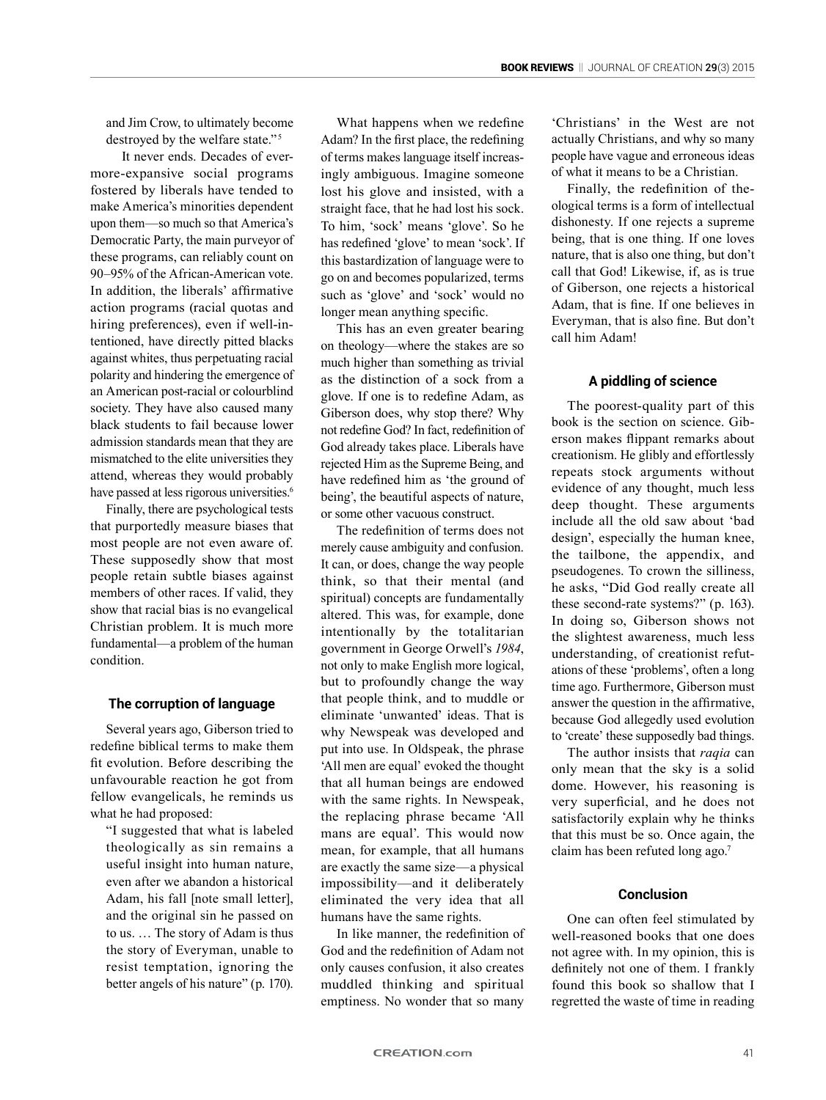and Jim Crow, to ultimately become destroyed by the welfare state."<sup>5</sup>

It never ends. Decades of evermore-expansive social programs fostered by liberals have tended to make America's minorities dependent upon them—so much so that America's Democratic Party, the main purveyor of these programs, can reliably count on 90–95% of the African-American vote. In addition, the liberals' affirmative action programs (racial quotas and hiring preferences), even if well-intentioned, have directly pitted blacks against whites, thus perpetuating racial polarity and hindering the emergence of an American post-racial or colourblind society. They have also caused many black students to fail because lower admission standards mean that they are mismatched to the elite universities they attend, whereas they would probably have passed at less rigorous universities.<sup>6</sup>

Finally, there are psychological tests that purportedly measure biases that most people are not even aware of. These supposedly show that most people retain subtle biases against members of other races. If valid, they show that racial bias is no evangelical Christian problem. It is much more fundamental—a problem of the human condition.

#### **The corruption of language**

Several years ago, Giberson tried to redefine biblical terms to make them fit evolution. Before describing the unfavourable reaction he got from fellow evangelicals, he reminds us what he had proposed:

"I suggested that what is labeled theologically as sin remains a useful insight into human nature, even after we abandon a historical Adam, his fall [note small letter], and the original sin he passed on to us. … The story of Adam is thus the story of Everyman, unable to resist temptation, ignoring the better angels of his nature" (p. 170).

What happens when we redefine Adam? In the first place, the redefining of terms makes language itself increasingly ambiguous. Imagine someone lost his glove and insisted, with a straight face, that he had lost his sock. To him, 'sock' means 'glove'. So he has redefined 'glove' to mean 'sock'. If this bastardization of language were to go on and becomes popularized, terms such as 'glove' and 'sock' would no longer mean anything specific.

This has an even greater bearing on theology—where the stakes are so much higher than something as trivial as the distinction of a sock from a glove. If one is to redefine Adam, as Giberson does, why stop there? Why not redefine God? In fact, redefinition of God already takes place. Liberals have rejected Him as the Supreme Being, and have redefined him as 'the ground of being', the beautiful aspects of nature, or some other vacuous construct.

The redefinition of terms does not merely cause ambiguity and confusion. It can, or does, change the way people think, so that their mental (and spiritual) concepts are fundamentally altered. This was, for example, done intentionally by the totalitarian government in George Orwell's *1984*, not only to make English more logical, but to profoundly change the way that people think, and to muddle or eliminate 'unwanted' ideas. That is why Newspeak was developed and put into use. In Oldspeak, the phrase 'All men are equal' evoked the thought that all human beings are endowed with the same rights. In Newspeak, the replacing phrase became 'All mans are equal'. This would now mean, for example, that all humans are exactly the same size—a physical impossibility—and it deliberately eliminated the very idea that all humans have the same rights.

In like manner, the redefinition of God and the redefinition of Adam not only causes confusion, it also creates muddled thinking and spiritual emptiness. No wonder that so many

'Christians' in the West are not actually Christians, and why so many people have vague and erroneous ideas of what it means to be a Christian.

Finally, the redefinition of theological terms is a form of intellectual dishonesty. If one rejects a supreme being, that is one thing. If one loves nature, that is also one thing, but don't call that God! Likewise, if, as is true of Giberson, one rejects a historical Adam, that is fine. If one believes in Everyman, that is also fine. But don't call him Adam!

#### **A piddling of science**

The poorest-quality part of this book is the section on science. Giberson makes flippant remarks about creationism. He glibly and effortlessly repeats stock arguments without evidence of any thought, much less deep thought. These arguments include all the old saw about 'bad design', especially the human knee, the tailbone, the appendix, and pseudogenes. To crown the silliness, he asks, "Did God really create all these second-rate systems?" (p. 163). In doing so, Giberson shows not the slightest awareness, much less understanding, of creationist refutations of these 'problems', often a long time ago. Furthermore, Giberson must answer the question in the affirmative, because God allegedly used evolution to 'create' these supposedly bad things.

The author insists that *raqia* can only mean that the sky is a solid dome. However, his reasoning is very superficial, and he does not satisfactorily explain why he thinks that this must be so. Once again, the claim has been refuted long ago.<sup>7</sup>

#### **Conclusion**

One can often feel stimulated by well-reasoned books that one does not agree with. In my opinion, this is definitely not one of them. I frankly found this book so shallow that I regretted the waste of time in reading